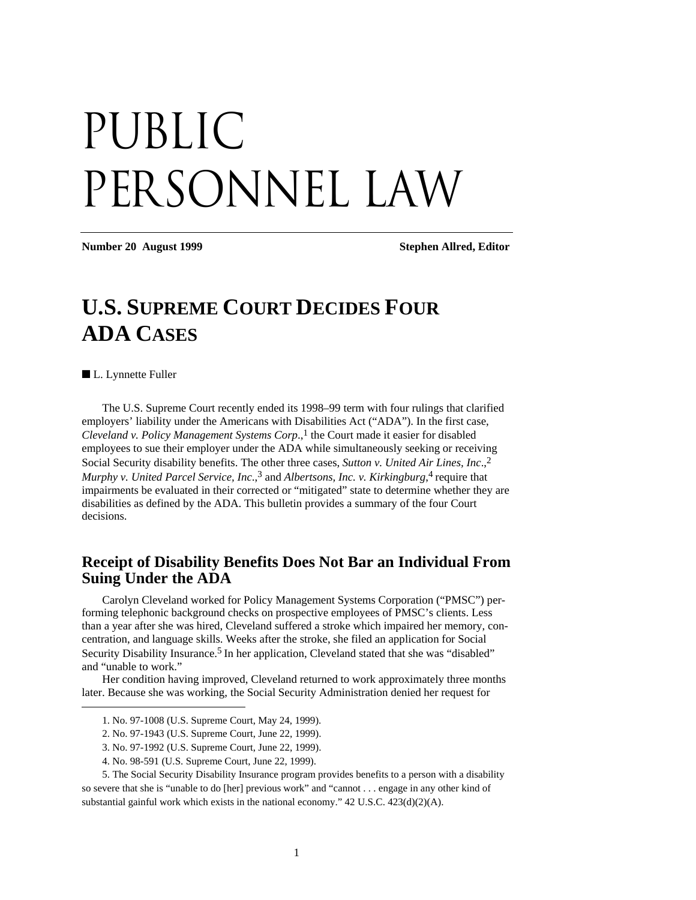# PUBLIC PERSONNEL LAW

**Number 20 August 1999 Stephen Allred, Editor** 

# **U.S. SUPREME COURT DECIDES FOUR ADA CASES**

■ L. Lynnette Fuller

 $\overline{a}$ 

The U.S. Supreme Court recently ended its 1998–99 term with four rulings that clarified employers' liability under the Americans with Disabilities Act ("ADA"). In the first case, *Cleveland v. Policy Management Systems Corp.*,<sup>1</sup> the Court made it easier for disabled employees to sue their employer under the ADA while simultaneously seeking or receiving Social Security disability benefits. The other three cases, *Sutton v. United Air Lines, Inc*.,2 Murphy v. United Parcel Service, Inc.,<sup>3</sup> and Albertsons, Inc. v. Kirkingburg,<sup>4</sup> require that impairments be evaluated in their corrected or "mitigated" state to determine whether they are disabilities as defined by the ADA. This bulletin provides a summary of the four Court decisions.

#### **Receipt of Disability Benefits Does Not Bar an Individual From Suing Under the ADA**

Carolyn Cleveland worked for Policy Management Systems Corporation ("PMSC") performing telephonic background checks on prospective employees of PMSC's clients. Less than a year after she was hired, Cleveland suffered a stroke which impaired her memory, concentration, and language skills. Weeks after the stroke, she filed an application for Social Security Disability Insurance.<sup>5</sup> In her application, Cleveland stated that she was "disabled" and "unable to work."

Her condition having improved, Cleveland returned to work approximately three months later. Because she was working, the Social Security Administration denied her request for

<sup>1.</sup> No. 97-1008 (U.S. Supreme Court, May 24, 1999).

<sup>2.</sup> No. 97-1943 (U.S. Supreme Court, June 22, 1999).

<sup>3.</sup> No. 97-1992 (U.S. Supreme Court, June 22, 1999).

<sup>4.</sup> No. 98-591 (U.S. Supreme Court, June 22, 1999).

<sup>5.</sup> The Social Security Disability Insurance program provides benefits to a person with a disability so severe that she is "unable to do [her] previous work" and "cannot . . . engage in any other kind of substantial gainful work which exists in the national economy." 42 U.S.C. 423(d)(2)(A).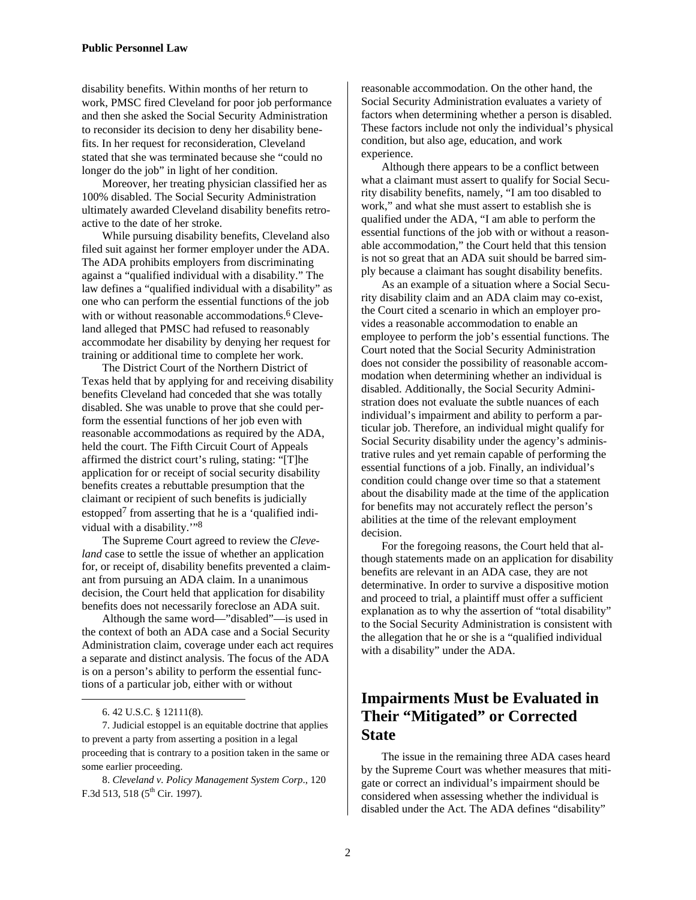disability benefits. Within months of her return to work, PMSC fired Cleveland for poor job performance and then she asked the Social Security Administration to reconsider its decision to deny her disability benefits. In her request for reconsideration, Cleveland stated that she was terminated because she "could no longer do the job" in light of her condition.

Moreover, her treating physician classified her as 100% disabled. The Social Security Administration ultimately awarded Cleveland disability benefits retroactive to the date of her stroke.

While pursuing disability benefits, Cleveland also filed suit against her former employer under the ADA. The ADA prohibits employers from discriminating against a "qualified individual with a disability." The law defines a "qualified individual with a disability" as one who can perform the essential functions of the job with or without reasonable accommodations.<sup>6</sup> Cleveland alleged that PMSC had refused to reasonably accommodate her disability by denying her request for training or additional time to complete her work.

The District Court of the Northern District of Texas held that by applying for and receiving disability benefits Cleveland had conceded that she was totally disabled. She was unable to prove that she could perform the essential functions of her job even with reasonable accommodations as required by the ADA, held the court. The Fifth Circuit Court of Appeals affirmed the district court's ruling, stating: "[T]he application for or receipt of social security disability benefits creates a rebuttable presumption that the claimant or recipient of such benefits is judicially estopped<sup>7</sup> from asserting that he is a 'qualified individual with a disability.'"8

The Supreme Court agreed to review the *Cleveland* case to settle the issue of whether an application for, or receipt of, disability benefits prevented a claimant from pursuing an ADA claim. In a unanimous decision, the Court held that application for disability benefits does not necessarily foreclose an ADA suit.

Although the same word—"disabled"—is used in the context of both an ADA case and a Social Security Administration claim, coverage under each act requires a separate and distinct analysis. The focus of the ADA is on a person's ability to perform the essential functions of a particular job, either with or without

1

7. Judicial estoppel is an equitable doctrine that applies to prevent a party from asserting a position in a legal proceeding that is contrary to a position taken in the same or some earlier proceeding.

8. *Cleveland v. Policy Management System Corp*., 120 F.3d 513, 518 ( $5^{\text{th}}$  Cir. 1997).

reasonable accommodation. On the other hand, the Social Security Administration evaluates a variety of factors when determining whether a person is disabled. These factors include not only the individual's physical condition, but also age, education, and work experience.

Although there appears to be a conflict between what a claimant must assert to qualify for Social Security disability benefits, namely, "I am too disabled to work," and what she must assert to establish she is qualified under the ADA, "I am able to perform the essential functions of the job with or without a reasonable accommodation," the Court held that this tension is not so great that an ADA suit should be barred simply because a claimant has sought disability benefits.

As an example of a situation where a Social Security disability claim and an ADA claim may co-exist, the Court cited a scenario in which an employer provides a reasonable accommodation to enable an employee to perform the job's essential functions. The Court noted that the Social Security Administration does not consider the possibility of reasonable accommodation when determining whether an individual is disabled. Additionally, the Social Security Administration does not evaluate the subtle nuances of each individual's impairment and ability to perform a particular job. Therefore, an individual might qualify for Social Security disability under the agency's administrative rules and yet remain capable of performing the essential functions of a job. Finally, an individual's condition could change over time so that a statement about the disability made at the time of the application for benefits may not accurately reflect the person's abilities at the time of the relevant employment decision.

For the foregoing reasons, the Court held that although statements made on an application for disability benefits are relevant in an ADA case, they are not determinative. In order to survive a dispositive motion and proceed to trial, a plaintiff must offer a sufficient explanation as to why the assertion of "total disability" to the Social Security Administration is consistent with the allegation that he or she is a "qualified individual with a disability" under the ADA.

### **Impairments Must be Evaluated in Their "Mitigated" or Corrected State**

The issue in the remaining three ADA cases heard by the Supreme Court was whether measures that mitigate or correct an individual's impairment should be considered when assessing whether the individual is disabled under the Act. The ADA defines "disability"

<sup>6. 42</sup> U.S.C. § 12111(8).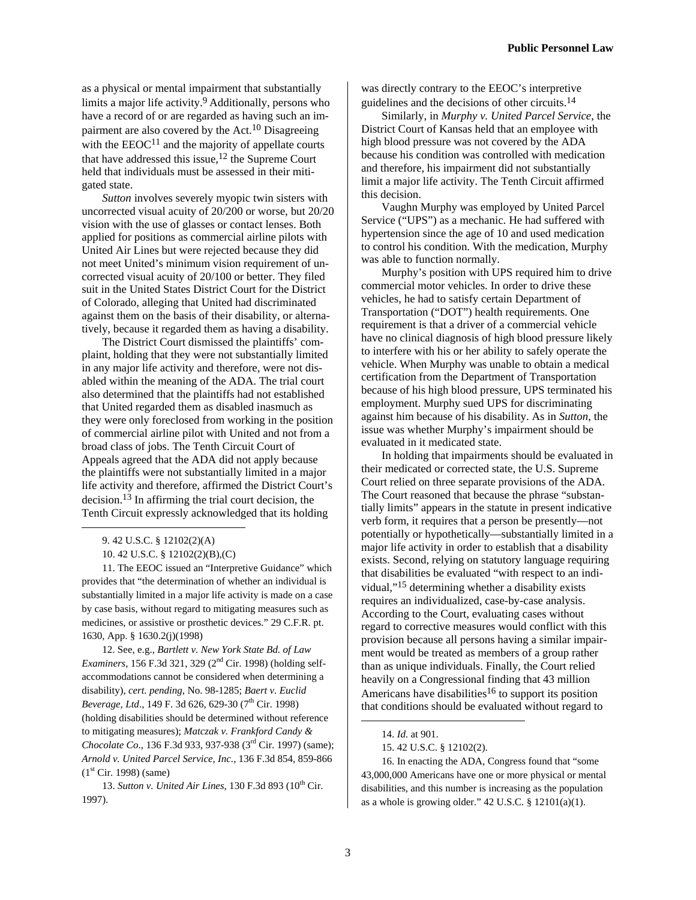as a physical or mental impairment that substantially limits a major life activity.9 Additionally, persons who have a record of or are regarded as having such an impairment are also covered by the Act.<sup>10</sup> Disagreeing with the  $EEOC<sup>11</sup>$  and the majority of appellate courts that have addressed this issue,  $12$  the Supreme Court held that individuals must be assessed in their mitigated state.

*Sutton* involves severely myopic twin sisters with uncorrected visual acuity of 20/200 or worse, but 20/20 vision with the use of glasses or contact lenses. Both applied for positions as commercial airline pilots with United Air Lines but were rejected because they did not meet United's minimum vision requirement of uncorrected visual acuity of 20/100 or better. They filed suit in the United States District Court for the District of Colorado, alleging that United had discriminated against them on the basis of their disability, or alternatively, because it regarded them as having a disability.

The District Court dismissed the plaintiffs' complaint, holding that they were not substantially limited in any major life activity and therefore, were not disabled within the meaning of the ADA. The trial court also determined that the plaintiffs had not established that United regarded them as disabled inasmuch as they were only foreclosed from working in the position of commercial airline pilot with United and not from a broad class of jobs. The Tenth Circuit Court of Appeals agreed that the ADA did not apply because the plaintiffs were not substantially limited in a major life activity and therefore, affirmed the District Court's decision.13 In affirming the trial court decision, the Tenth Circuit expressly acknowledged that its holding

 $\overline{a}$ 

11. The EEOC issued an "Interpretive Guidance" which provides that "the determination of whether an individual is substantially limited in a major life activity is made on a case by case basis, without regard to mitigating measures such as medicines, or assistive or prosthetic devices." 29 C.F.R. pt. 1630, App. § 1630.2(j)(1998)

12. See, e.g., *Bartlett v. New York State Bd. of Law Examiners*, 156 F.3d 321, 329 (2nd Cir. 1998) (holding selfaccommodations cannot be considered when determining a disability), *cert. pending*, No. 98-1285; *Baert v. Euclid Beverage, Ltd., 149 F. 3d 626, 629-30 (7<sup>th</sup> Cir. 1998)* (holding disabilities should be determined without reference to mitigating measures); *Matczak v. Frankford Candy & Chocolate Co.*, 136 F.3d 933, 937-938 (3<sup>rd</sup> Cir. 1997) (same); *Arnold v. United Parcel Service, Inc.,* 136 F.3d 854, 859-866  $(1<sup>st</sup> Cir. 1998)$  (same)

was directly contrary to the EEOC's interpretive guidelines and the decisions of other circuits.14

Similarly, in *Murphy v. United Parcel Service*, the District Court of Kansas held that an employee with high blood pressure was not covered by the ADA because his condition was controlled with medication and therefore, his impairment did not substantially limit a major life activity. The Tenth Circuit affirmed this decision.

Vaughn Murphy was employed by United Parcel Service ("UPS") as a mechanic. He had suffered with hypertension since the age of 10 and used medication to control his condition. With the medication, Murphy was able to function normally.

Murphy's position with UPS required him to drive commercial motor vehicles. In order to drive these vehicles, he had to satisfy certain Department of Transportation ("DOT") health requirements. One requirement is that a driver of a commercial vehicle have no clinical diagnosis of high blood pressure likely to interfere with his or her ability to safely operate the vehicle. When Murphy was unable to obtain a medical certification from the Department of Transportation because of his high blood pressure, UPS terminated his employment. Murphy sued UPS for discriminating against him because of his disability. As in *Sutton*, the issue was whether Murphy's impairment should be evaluated in it medicated state.

In holding that impairments should be evaluated in their medicated or corrected state, the U.S. Supreme Court relied on three separate provisions of the ADA. The Court reasoned that because the phrase "substantially limits" appears in the statute in present indicative verb form, it requires that a person be presently—not potentially or hypothetically—substantially limited in a major life activity in order to establish that a disability exists. Second, relying on statutory language requiring that disabilities be evaluated "with respect to an individual,"15 determining whether a disability exists requires an individualized, case-by-case analysis. According to the Court, evaluating cases without regard to corrective measures would conflict with this provision because all persons having a similar impairment would be treated as members of a group rather than as unique individuals. Finally, the Court relied heavily on a Congressional finding that 43 million Americans have disabilities<sup>16</sup> to support its position that conditions should be evaluated without regard to

16. In enacting the ADA, Congress found that "some 43,000,000 Americans have one or more physical or mental disabilities, and this number is increasing as the population as a whole is growing older."  $42 \text{ U.S.C.}$  §  $12101(a)(1)$ .

1

<sup>9. 42</sup> U.S.C. § 12102(2)(A)

<sup>10. 42</sup> U.S.C. § 12102(2)(B),(C)

<sup>13.</sup> *Sutton v. United Air Lines*, 130 F.3d 893 (10<sup>th</sup> Cir. 1997).

<sup>14.</sup> *Id*. at 901.

<sup>15. 42</sup> U.S.C. § 12102(2).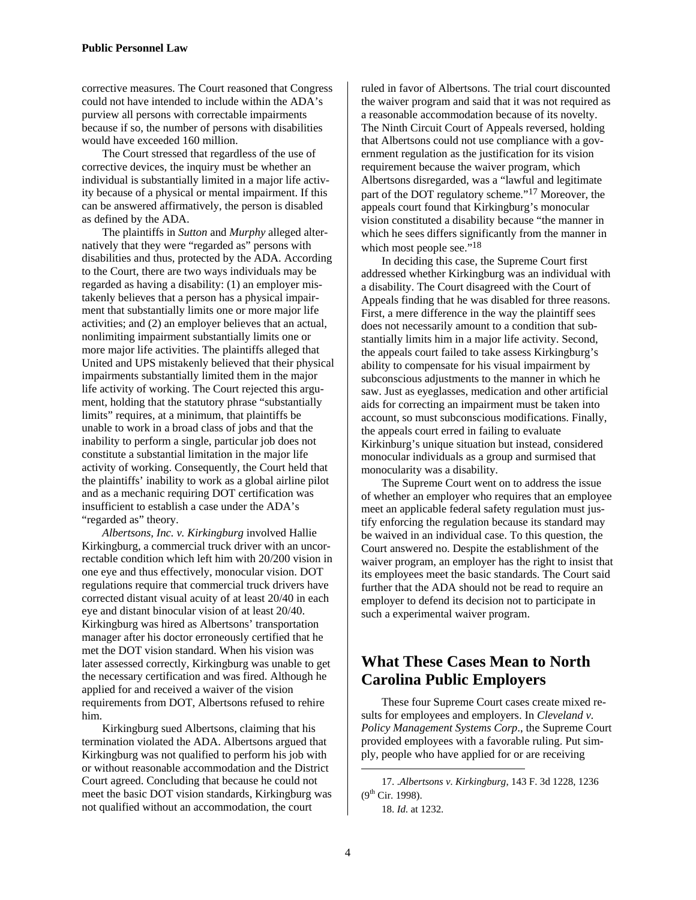corrective measures. The Court reasoned that Congress could not have intended to include within the ADA's purview all persons with correctable impairments because if so, the number of persons with disabilities would have exceeded 160 million.

The Court stressed that regardless of the use of corrective devices, the inquiry must be whether an individual is substantially limited in a major life activity because of a physical or mental impairment. If this can be answered affirmatively, the person is disabled as defined by the ADA.

The plaintiffs in *Sutton* and *Murphy* alleged alternatively that they were "regarded as" persons with disabilities and thus, protected by the ADA. According to the Court, there are two ways individuals may be regarded as having a disability: (1) an employer mistakenly believes that a person has a physical impairment that substantially limits one or more major life activities; and (2) an employer believes that an actual, nonlimiting impairment substantially limits one or more major life activities. The plaintiffs alleged that United and UPS mistakenly believed that their physical impairments substantially limited them in the major life activity of working. The Court rejected this argument, holding that the statutory phrase "substantially limits" requires, at a minimum, that plaintiffs be unable to work in a broad class of jobs and that the inability to perform a single, particular job does not constitute a substantial limitation in the major life activity of working. Consequently, the Court held that the plaintiffs' inability to work as a global airline pilot and as a mechanic requiring DOT certification was insufficient to establish a case under the ADA's "regarded as" theory.

*Albertsons, Inc. v. Kirkingburg* involved Hallie Kirkingburg, a commercial truck driver with an uncorrectable condition which left him with 20/200 vision in one eye and thus effectively, monocular vision. DOT regulations require that commercial truck drivers have corrected distant visual acuity of at least 20/40 in each eye and distant binocular vision of at least 20/40. Kirkingburg was hired as Albertsons' transportation manager after his doctor erroneously certified that he met the DOT vision standard. When his vision was later assessed correctly, Kirkingburg was unable to get the necessary certification and was fired. Although he applied for and received a waiver of the vision requirements from DOT, Albertsons refused to rehire him.

Kirkingburg sued Albertsons, claiming that his termination violated the ADA. Albertsons argued that Kirkingburg was not qualified to perform his job with or without reasonable accommodation and the District Court agreed. Concluding that because he could not meet the basic DOT vision standards, Kirkingburg was not qualified without an accommodation, the court

ruled in favor of Albertsons. The trial court discounted the waiver program and said that it was not required as a reasonable accommodation because of its novelty. The Ninth Circuit Court of Appeals reversed, holding that Albertsons could not use compliance with a government regulation as the justification for its vision requirement because the waiver program, which Albertsons disregarded, was a "lawful and legitimate part of the DOT regulatory scheme."17 Moreover, the appeals court found that Kirkingburg's monocular vision constituted a disability because "the manner in which he sees differs significantly from the manner in which most people see."<sup>18</sup>

In deciding this case, the Supreme Court first addressed whether Kirkingburg was an individual with a disability. The Court disagreed with the Court of Appeals finding that he was disabled for three reasons. First, a mere difference in the way the plaintiff sees does not necessarily amount to a condition that substantially limits him in a major life activity. Second, the appeals court failed to take assess Kirkingburg's ability to compensate for his visual impairment by subconscious adjustments to the manner in which he saw. Just as eyeglasses, medication and other artificial aids for correcting an impairment must be taken into account, so must subconscious modifications. Finally, the appeals court erred in failing to evaluate Kirkinburg's unique situation but instead, considered monocular individuals as a group and surmised that monocularity was a disability.

The Supreme Court went on to address the issue of whether an employer who requires that an employee meet an applicable federal safety regulation must justify enforcing the regulation because its standard may be waived in an individual case. To this question, the Court answered no. Despite the establishment of the waiver program, an employer has the right to insist that its employees meet the basic standards. The Court said further that the ADA should not be read to require an employer to defend its decision not to participate in such a experimental waiver program.

## **What These Cases Mean to North Carolina Public Employers**

These four Supreme Court cases create mixed results for employees and employers. In *Cleveland v. Policy Management Systems Corp*., the Supreme Court provided employees with a favorable ruling. Put simply, people who have applied for or are receiving

1

<sup>17. .</sup>*Albertsons v. Kirkingburg*, 143 F. 3d 1228, 1236  $(9^{th}$  Cir. 1998).

<sup>18.</sup> *Id*. at 1232.